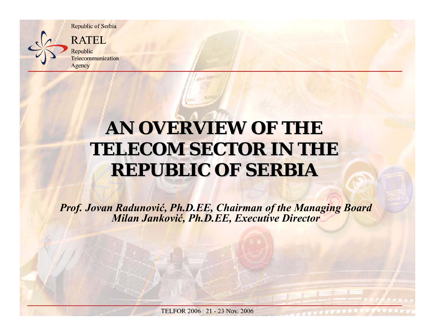

Republic Telecommunication

### **AN OVERVIEW OF THE TELECOM SECTOR IN THE REPUBLIC OF SERBIA REPUBLIC OF SERBIA**

*Prof. Jovan Radunovi ć, Ph.D.EE, Chairman of the Managing Board Milan Jankovi ć, Ph.D.EE, Executive Director*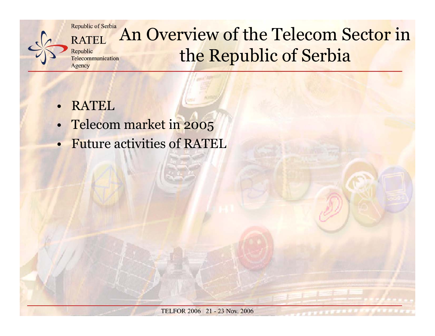

#### Republic of Serbia An Overview of the Telecom Sector in **RATEL** the Republic of Serbia Telecommunication

- •RATEL
- •Telecom market in 2005
- •Future activities of RATEL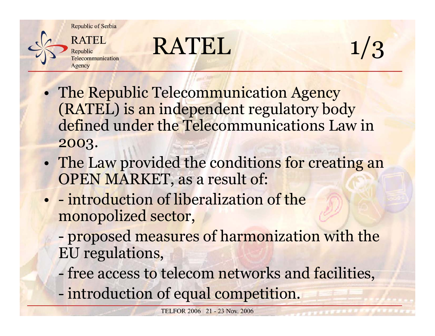

## $RATEL$  1/3



- • The Republic Telecommunication Agency (RATEL) is an independent regulatory body defined under the Telecommunications Law in 2003.
- • The Law provided the conditions for creating an OPEN MARKET, as a result of:
- - introduction of liberalization of the monopolized sector,
	- proposed measures of harmonization with the EU regulations,
	- free access to telecom networks and facilities,
	- introduction of equal competition.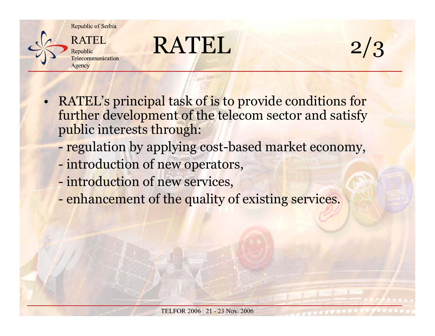

### RATEL



- • RATEL's principal task of is to provide conditions for further development of the telecom sector and satisfy public interests through:
	- regulation by applying cost-based market economy,
	- introduction of new operators,
	- introduction of new services,
	- enhancement of the quality of existing services.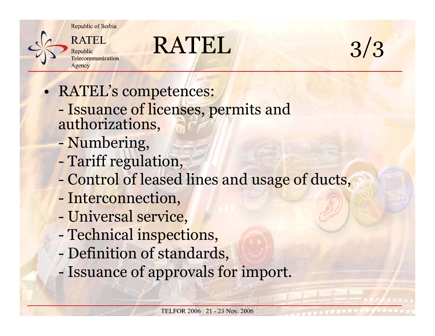

### RATEL



- • RATEL's competences:
	- -- Issuance of licenses, permits and<br>authorizations,
	- -Numbering,
	- -Tariff regulation,
	- -Control of leased lines and usage of ducts,
	- Interconnection,
	- -Universal service,
	- -Technical inspections,
	- -Definition of standards,
	- -Issuance of approvals for import.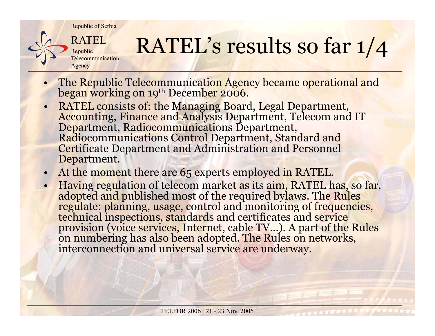

# RATEL's results so far 1/4

- •The Republic Telecommunication Agency became operational and began working on 19<sup>th</sup> December 2006.
- •RATEL consists of: the Managing Board, Legal Department,<br>Accounting, Finance and Analysis Department, Telecom and IT<br>Department, Radiocommunications Department,<br>Radiocommunications Control Department, Standard and<br>Certific Department.
- •At the moment there are 65 experts employed in RATEL.
- •Having regulation of telecom market as its aim, RATEL has, so far, adopted and published most of the required bylaws. The Rules regulate: planning, usage, control and monitoring of frequencies, technical inspections, stand on numbering has also been adopted. The Rules on networks, interconnection and universal service are underway.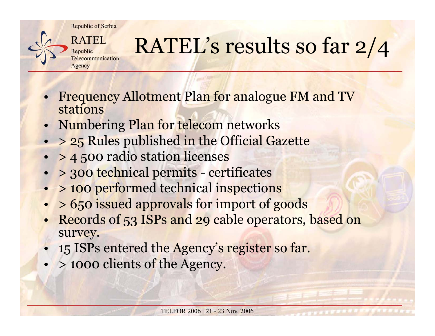

## RATEL's results so far 2/4

- • Frequency Allotment Plan for analogue FM and TV stations
- •Numbering Plan for telecom networks
- •<sup>&</sup>gt; 25 Rules published in the Official Gazette
- •<sup>&</sup>gt; 4 500 radio station licenses
- •<sup>&</sup>gt; 300 technical permits - certificates
- •<sup>&</sup>gt; 100 performed technical inspections
- •<sup>&</sup>gt; 650 issued approvals for import of goods
- • Records of 53 ISPs and 29 cable operators, based on survey.
- •15 ISPs entered the Agency's register so far.
- •<sup>&</sup>gt; <sup>1000</sup> clients of the Agency.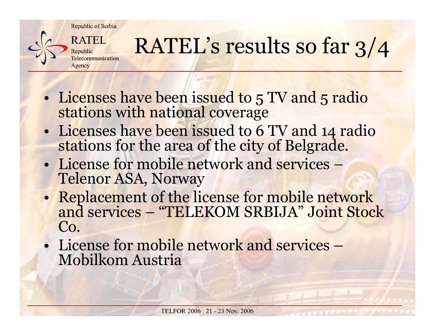

# RATEL's results so far 3/4

- • Licenses have been issued to 5 TV and 5 radio stations with national coverage
- • Licenses have been issued to 6 TV and 14 radio stations for the area of the city of Belgrade.
- License for mobile network and services Telenor ASA, Norway
- • Replacement of the license for mobile network and services – "TELEKOM SRBIJA" Joint Stock Co.
- License for mobile network and services Mobilkom Austria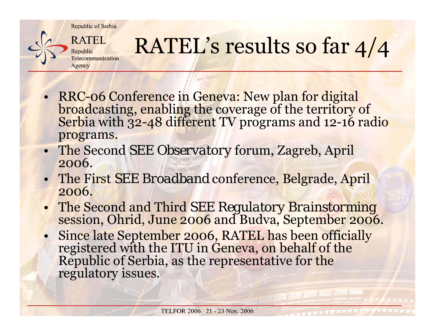

## RATEL's results so far 4/4

- RRC-06 Conference in Geneva: New plan for digital broadcasting, enabling the coverage of the territory of Serbia with 32-48 different TV programs and 12-16 radio programs.
- The Second *SEE Observatory* forum, Zagreb, April 2006.
- The First *SEE Broadband* conference, Belgrade, April 2006.
- •The Second and Third *SEE Regulatory Brainstorming* session, Ohrid, June 2006 and Budva, September 2006.
- •Since late September 2006, RATEL has been officially registered with the ITU in Geneva, on behalf of the Republic of Serbia, as the representative for the regulatory issues.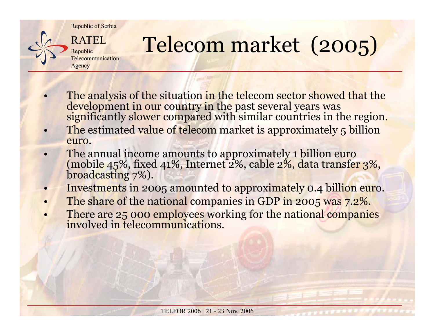

# Telecom market (2005)

- •The analysis of the situation in the telecom sector showed that the development in our country in the past several years was significantly slower compared with similar countries in the region.
- • The estimated value of telecom market is approximately 5 billion euro.
- • The annual income amounts to approximately 1 billion euro (mobile 45%, fixed 41%, Internet 2%, cable 2%, data transfer 3%, broadcasting 7%).
- •Investments in 2005 amounted to approximately 0.4 billion euro.
- •The share of the national companies in GDP in 2005 was 7.2%.
- •There are 25 000 employees working for the national companies involved in telecommunications.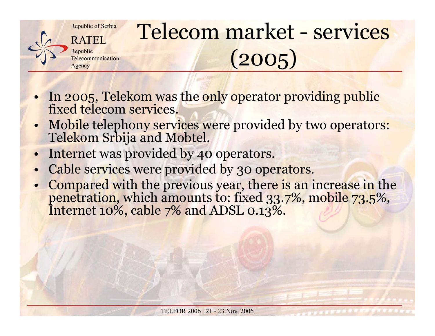

## Telecom market - services (2005)

- •In 2005, Telekom was the only operator providing public <sub>.</sub><br>fixed telecom services.
- •Mobile telephony services were provided by two operators: Telekom Srbija and Mobtel.
- •Internet was provided by 40 operators.
- •Cable services were provided by 30 operators.
- •Compared with the previous year, there is an increase in the penetration, which amounts to: fixed 33.7%, mobile 73.5%, Internet 10%, cable 7% and ADSL 0.13%.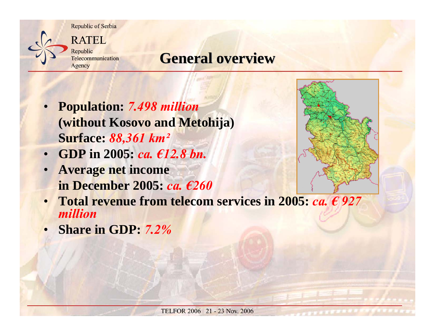

#### **General overview General overview**

- • **Population:** *7.498 million* **(without Kosovo and Metohija) Surface:** *88,361 km²*
- •**GDP in 2005:** *ca. €12.8 bn.*
- • **Average net income in December 2005:** *ca. €260*



•**Share in GDP:** *7.2%*

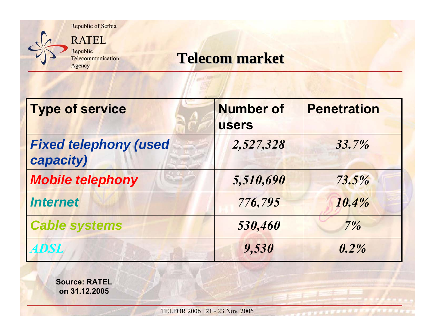

#### **Telecom market Telecom market**

| <b>Type of service</b>                    | <b>Number of</b><br><b>users</b> | <b>Penetration</b> |
|-------------------------------------------|----------------------------------|--------------------|
| <b>Fixed telephony (used</b><br>capacity) | 2,527,328                        | 33.7%              |
| <b>Mobile telephony</b>                   | 5,510,690                        | 73.5%              |
| <b>Internet</b>                           | 776,795                          | 10.4%              |
| <b>Cable systems</b>                      | 530,460                          | 7%                 |
| <b>ADSL</b>                               | 9,530                            | $0.2\%$            |

**Source: RATEL on 31.12.2005**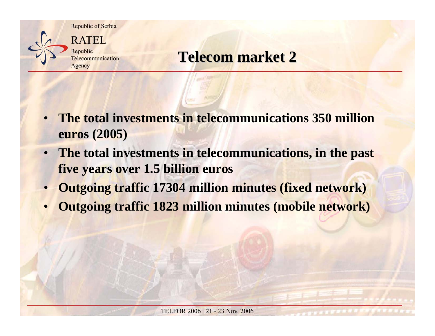



### **Telecom market Telecom market 2**

- • **The total investments in telecommunications 350 million euros (2005)**
- $\bullet$  **The total investments in telecommunications, in the past five years over 1.5 billion euros**
- •**Outgoing traffic 17304 million minutes (fixed network)**
- •**Outgoing traffic 1823 million minutes (mobile network)**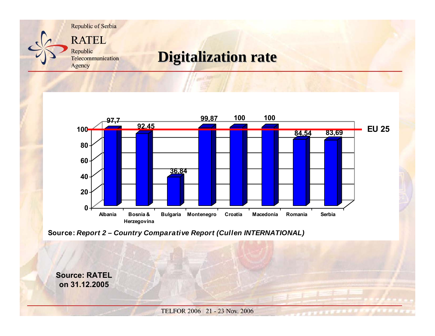

### **Digitalization rate Digitalization rate**



**Source:** *Report 2 – Country Comparative Report (Cullen INTERNATIONAL)*

**Source: RATELon 31.12.2005**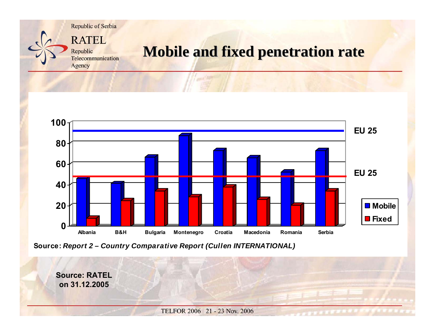

#### **Mobile and fixed penetration rate Mobile and fixed penetration rate**



**Source:** *Report 2 – Country Comparative Report (Cullen INTERNATIONAL)*

**Source: RATELon 31.12.2005**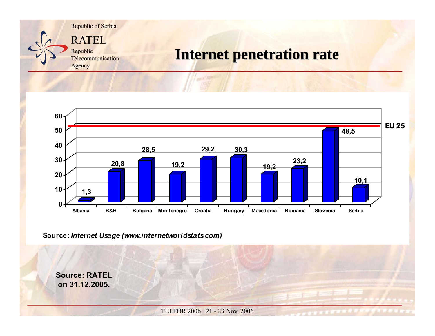

#### **Internet penetration rate**



**Source:** *Internet Usage (www.internetworldstats.com)*

**Source: RATELon 31.12.2005.**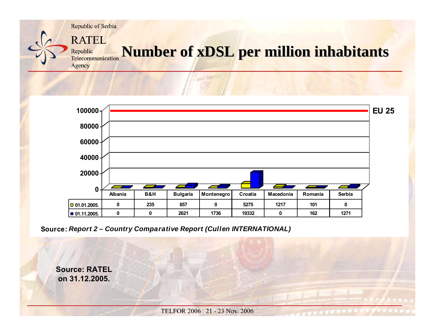

#### **Number of <b>xDSL** per million inhabitants Telecommunication Agency



**Source:** *Report 2 – Country Comparative Report (Cullen INTERNATIONAL)*

**Source: RATELon 31.12.2005.**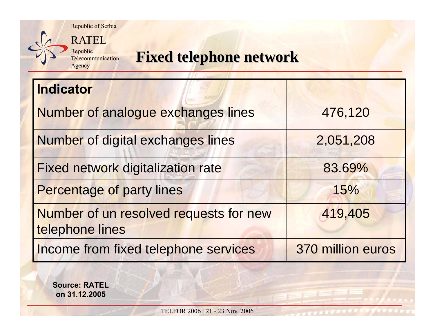

Republic Telecommunication Agency

### **Fixed telephone network Fixed telephone network**

| <b>Indicator</b>                                          |                   |
|-----------------------------------------------------------|-------------------|
| Number of analogue exchanges lines                        | 476,120           |
| Number of digital exchanges lines                         | 2,051,208         |
| <b>Fixed network digitalization rate</b>                  | 83.69%            |
| <b>Percentage of party lines</b>                          | 15%               |
| Number of un resolved requests for new<br>telephone lines | 419,405           |
| Income from fixed telephone services                      | 370 million euros |

**Source: RATEL on 31.12.2005**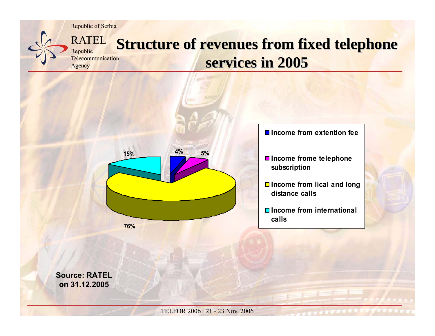Republic

Agency



#### **RATEL Structure of revenues from fixed telephone** Telecommunication services in 2005



**Income from extention fee**

 $\blacksquare$  **Income frome telephone subscription**

- **Income from lical and long distance calls**
- **Income from internationalcalls**

**Source: RATELon 31.12.2005**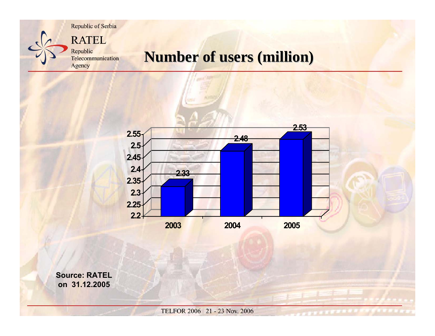**RATEL** Republic Telecommunication

Agency

#### **Number of users (million)**



**Source: RATELon 31.12.2005**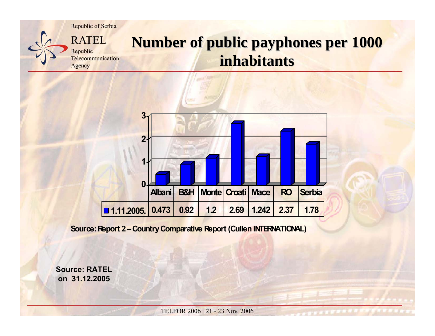

#### **Number of public payphones per 1000 inhabitants inhabitants**



**Source: Report 2 – Country Comparative Report (Cullen INTERNATIONAL)**

**Source: RATELon 31.12.2005**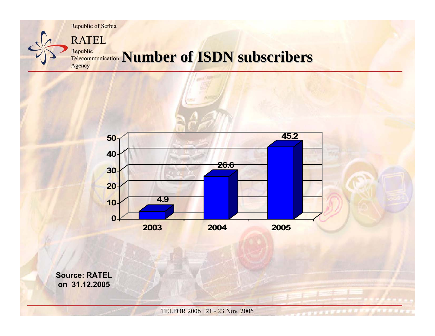



**Source: RATELon 31.12.2005**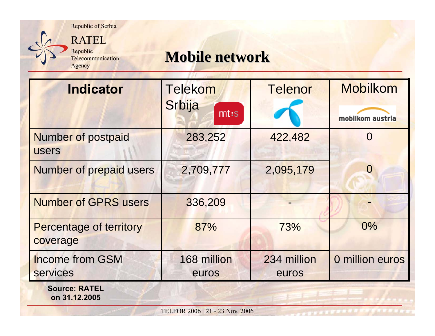

Agency

#### **Mobile network Mobile network**

| <b>Indicator</b>                           | <b>Telekom</b><br>Srbija<br>$m$ t:s | <b>Telenor</b>       | <b>Mobilkom</b><br>mobilkom austria |
|--------------------------------------------|-------------------------------------|----------------------|-------------------------------------|
| <b>Number of postpaid</b><br><b>users</b>  | 283,252                             | 422,482              | $\Omega$                            |
| <b>Number of prepaid users</b>             | 2,709,777                           | 2,095,179            | $\Omega$                            |
| <b>Number of GPRS users</b>                | 336,209                             |                      |                                     |
| <b>Percentage of territory</b><br>coverage | 87%                                 | 73%                  | $0\%$                               |
| <b>Income from GSM</b><br><b>services</b>  | 168 million<br>euros                | 234 million<br>euros | 0 million euros                     |
| <b>Source: RATEL</b><br>on 31.12.2005      |                                     |                      |                                     |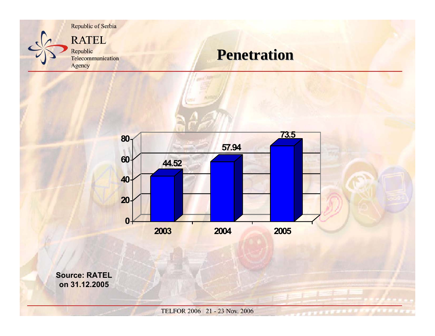

#### **Penetration Penetration**



**Source: RATEL on 31.12.2005**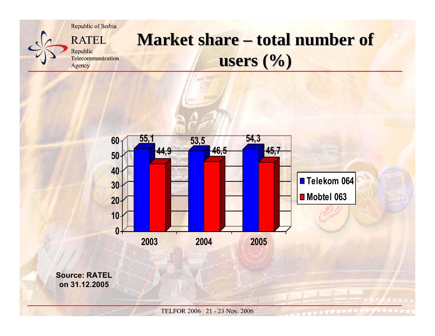

### **Market share – total number of users (%) users (%)**



**Source: RATELon 31.12.2005**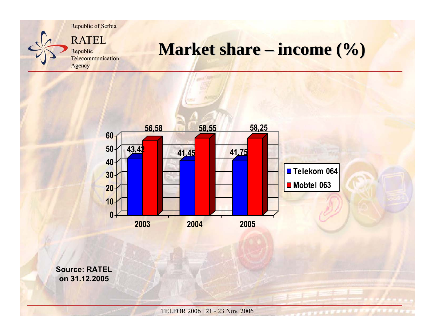

### **Market share – income (%)**



**Source: RATELon 31.12.2005**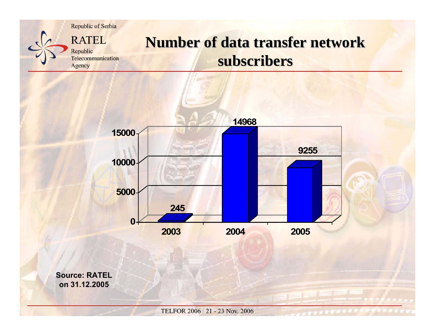

#### **Number of data transfer network subscribers subscribers**

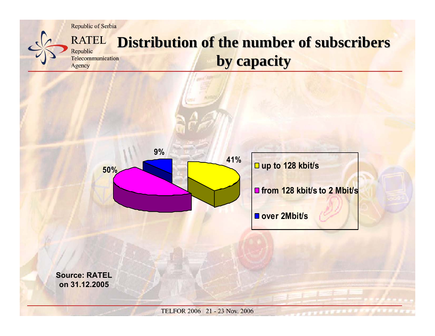Republic

Agency



#### **RATEL Distribution of the number of subscribers** Telecommunication **by capacity by capacity**



**Source: RATELon 31.12.2005**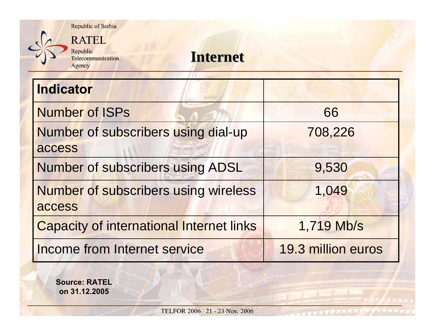

Republic Telecommunication Agency

#### **Internet Internet**

| <b>Indicator</b>                                |                    |
|-------------------------------------------------|--------------------|
| <b>Number of ISPs</b>                           | 66                 |
| Number of subscribers using dial-up             | 708,226            |
| access                                          |                    |
| Number of subscribers using ADSL                | 9,530              |
| <b>Number of subscribers using wireless</b>     | 1,049              |
| access                                          |                    |
| <b>Capacity of international Internet links</b> | 1,719 Mb/s         |
| <b>Income from Internet service</b>             | 19.3 million euros |

**Source: RATEL on 31.12.2005**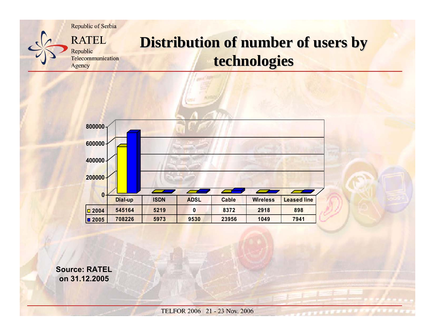

#### **Distribution of number of users by technologies technologies**



**Source: RATELon 31.12.2005**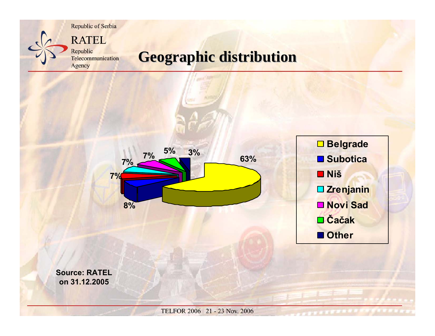

### **Geographic distribution Geographic distribution**



**Source: RATELon 31.12.2005**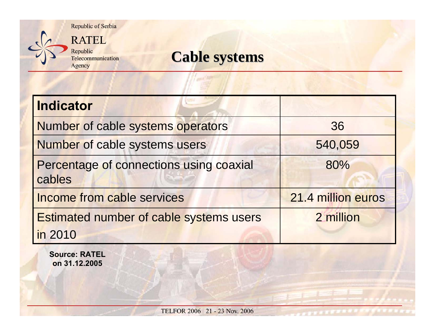

#### **Cable systems**

| <b>Indicator</b>                                  |                    |
|---------------------------------------------------|--------------------|
| Number of cable systems operators                 | 36                 |
| Number of cable systems users                     | 540,059            |
| Percentage of connections using coaxial<br>cables | 80%                |
| Income from cable services                        | 21.4 million euros |
| Estimated number of cable systems users           | 2 million          |
| in 2010                                           |                    |

**Source: RATEL on 31.12.2005**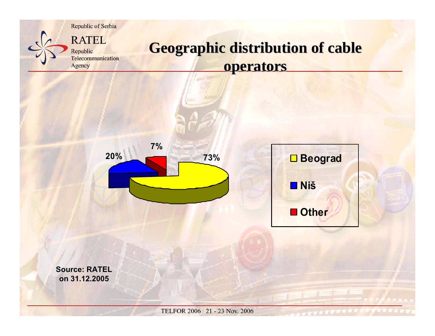

### **Geographic distribution of cable operators operators**





**Source: RATELon 31.12.2005**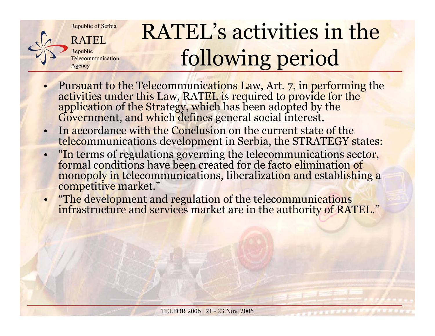

## RATEL's activities in the following period

- •Pursuant to the Telecommunications Law, Art. 7, in performing the activities under this Law, RATEL is required to provide for the application of the Strategy, which has been adopted by the Government, and which defines gen
- • In accordance with the Conclusion on the current state of the telecommunications development in Serbia, the STRATEGY states:
- • "In terms of regulations governing the telecommunications sector, formal conditions have been created for de facto elimination of monopoly in telecommunications, liberalization and establishing a competitive market."
- "The development and regulation of the telecommunications infrastructure and services market are in the authority of RATEL."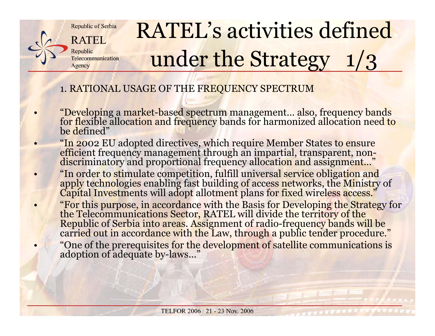

•

•

•

•

•

# RATEL's activities defined under the Strategy  $1/3$

#### 1. RATIONAL USAGE OF THE FREQUENCY SPECTRUM

- "Developing a market-based spectrum management… also, frequency bands for flexible allocation and frequency bands for harmonized allocation need to be defined"
- "In 2002 EU adopted directives, which require Member States to ensure efficient frequency management through an impartial, transparent, non- discriminatory and proportional frequency allocation and assignment…"
- "In order to stimulate competition, fulfill universal service obligation and apply technologies enabling fast building of access networks, the Ministry of Capital Investments will adopt allotment plans for fixed wireless a
- "For this purpose, in accordance with the Basis for Developing the Strategy for the Telecommunications Sector, RATEL will divide the territory of the Republic of Serbia into areas. Assignment of radio-frequency bands will "One of the prerequisites for the development of satellite communications is adoption of adequate by-laws…"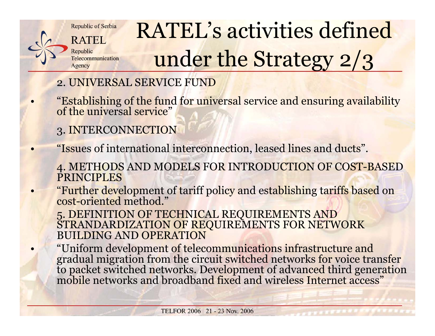

•

•

•

•

# RATEL's activities defined under the Strategy 2/3

#### 2. UNIVERSAL SERVICE FUND

"Establishing of the fund for universal service and ensuring availability of the universal service"

- 3. INTERCONNECTION
- "Issues of international interconnection, leased lines and ducts".
	- 4. METHODS AND MODELS FOR INTRODUCTION OF COST-BASED PRINCIPLES
- "Further development of tariff policy and establishing tariffs based on cost-oriented method."

5. DEFINITION OF TECHNICAL REQUIREMENTS AND STRANDARDIZATION OF REQUIREMENTS FOR NETWORK BUILDING AND OPERATION

"Uniform development of telecommunications infrastructure and<br>gradual migration from the circuit switched networks for voice transfer<br>to packet switched networks. Development of advanced third generation<br>mobile networks an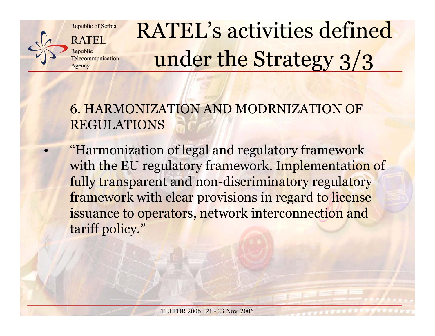**RATEL** Republic Telecommunication Agency

•

# RATEL's activities defined under the Strategy 3/3

#### 6. HARMONIZATION AND MODRNIZATION OF REGULATIONS

 "Harmonization of legal and regulatory framework with the EU regulatory framework. Implementation of fully transparent and non-discriminatory regulatory framework with clear provisions in regard to license issuance to operators, network interconnection and tariff policy."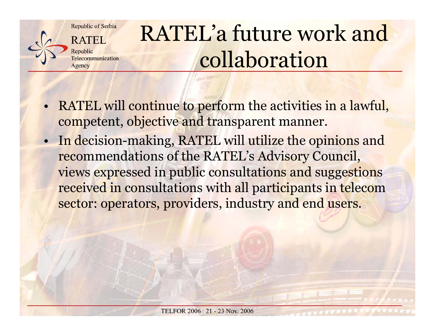Republic of Serbia **RATEL** 

Republic Telecommunication Agency

# RATEL'a future work and collaboration

- • RATEL will continue to perform the activities in a lawful, competent, objective and transparent manner.
- • In decision-making, RATEL will utilize the opinions and recommendations of the RATEL's Advisory Council, views expressed in public consultations and suggestions received in consultations with all participants in telecom sector: operators, providers, industry and end users.